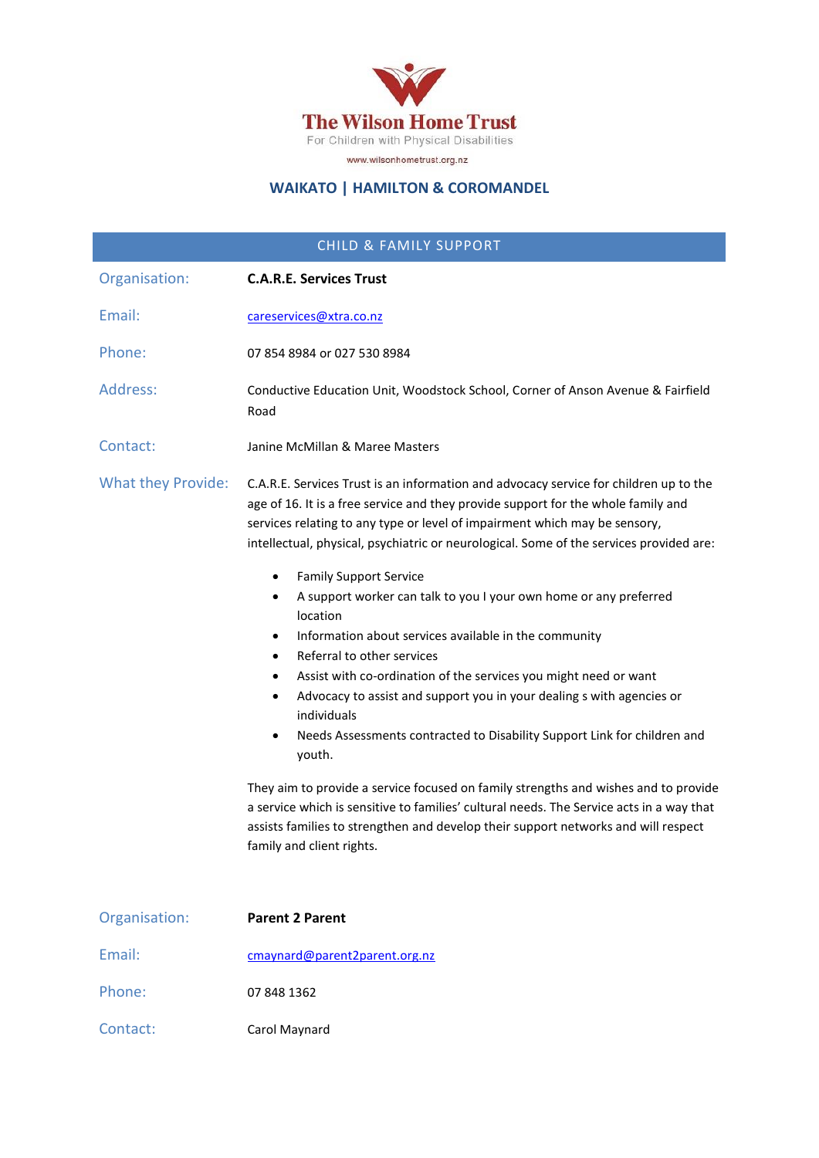

### **WAIKATO | HAMILTON & COROMANDEL**

| <b>CHILD &amp; FAMILY SUPPORT</b> |                                                                                                                                                                                                                                                                                                                                                                                                                                                                                                                                                                                                                                                                                                                                                                                                                                                                                                                                                                                                                                                                                                                                                                                                                 |
|-----------------------------------|-----------------------------------------------------------------------------------------------------------------------------------------------------------------------------------------------------------------------------------------------------------------------------------------------------------------------------------------------------------------------------------------------------------------------------------------------------------------------------------------------------------------------------------------------------------------------------------------------------------------------------------------------------------------------------------------------------------------------------------------------------------------------------------------------------------------------------------------------------------------------------------------------------------------------------------------------------------------------------------------------------------------------------------------------------------------------------------------------------------------------------------------------------------------------------------------------------------------|
| Organisation:                     | <b>C.A.R.E. Services Trust</b>                                                                                                                                                                                                                                                                                                                                                                                                                                                                                                                                                                                                                                                                                                                                                                                                                                                                                                                                                                                                                                                                                                                                                                                  |
| Email:                            | careservices@xtra.co.nz                                                                                                                                                                                                                                                                                                                                                                                                                                                                                                                                                                                                                                                                                                                                                                                                                                                                                                                                                                                                                                                                                                                                                                                         |
| Phone:                            | 07 854 8984 or 027 530 8984                                                                                                                                                                                                                                                                                                                                                                                                                                                                                                                                                                                                                                                                                                                                                                                                                                                                                                                                                                                                                                                                                                                                                                                     |
| Address:                          | Conductive Education Unit, Woodstock School, Corner of Anson Avenue & Fairfield<br>Road                                                                                                                                                                                                                                                                                                                                                                                                                                                                                                                                                                                                                                                                                                                                                                                                                                                                                                                                                                                                                                                                                                                         |
| Contact:                          | Janine McMillan & Maree Masters                                                                                                                                                                                                                                                                                                                                                                                                                                                                                                                                                                                                                                                                                                                                                                                                                                                                                                                                                                                                                                                                                                                                                                                 |
| <b>What they Provide:</b>         | C.A.R.E. Services Trust is an information and advocacy service for children up to the<br>age of 16. It is a free service and they provide support for the whole family and<br>services relating to any type or level of impairment which may be sensory,<br>intellectual, physical, psychiatric or neurological. Some of the services provided are:<br><b>Family Support Service</b><br>$\bullet$<br>A support worker can talk to you I your own home or any preferred<br>$\bullet$<br>location<br>Information about services available in the community<br>$\bullet$<br>Referral to other services<br>$\bullet$<br>Assist with co-ordination of the services you might need or want<br>$\bullet$<br>Advocacy to assist and support you in your dealing s with agencies or<br>$\bullet$<br>individuals<br>Needs Assessments contracted to Disability Support Link for children and<br>$\bullet$<br>youth.<br>They aim to provide a service focused on family strengths and wishes and to provide<br>a service which is sensitive to families' cultural needs. The Service acts in a way that<br>assists families to strengthen and develop their support networks and will respect<br>family and client rights. |
| Organisation:                     | <b>Parent 2 Parent</b>                                                                                                                                                                                                                                                                                                                                                                                                                                                                                                                                                                                                                                                                                                                                                                                                                                                                                                                                                                                                                                                                                                                                                                                          |
| Email:                            | cmaynard@parent2parent.org.nz                                                                                                                                                                                                                                                                                                                                                                                                                                                                                                                                                                                                                                                                                                                                                                                                                                                                                                                                                                                                                                                                                                                                                                                   |
| Phone:                            | 07 848 1362                                                                                                                                                                                                                                                                                                                                                                                                                                                                                                                                                                                                                                                                                                                                                                                                                                                                                                                                                                                                                                                                                                                                                                                                     |

Contact: Carol Maynard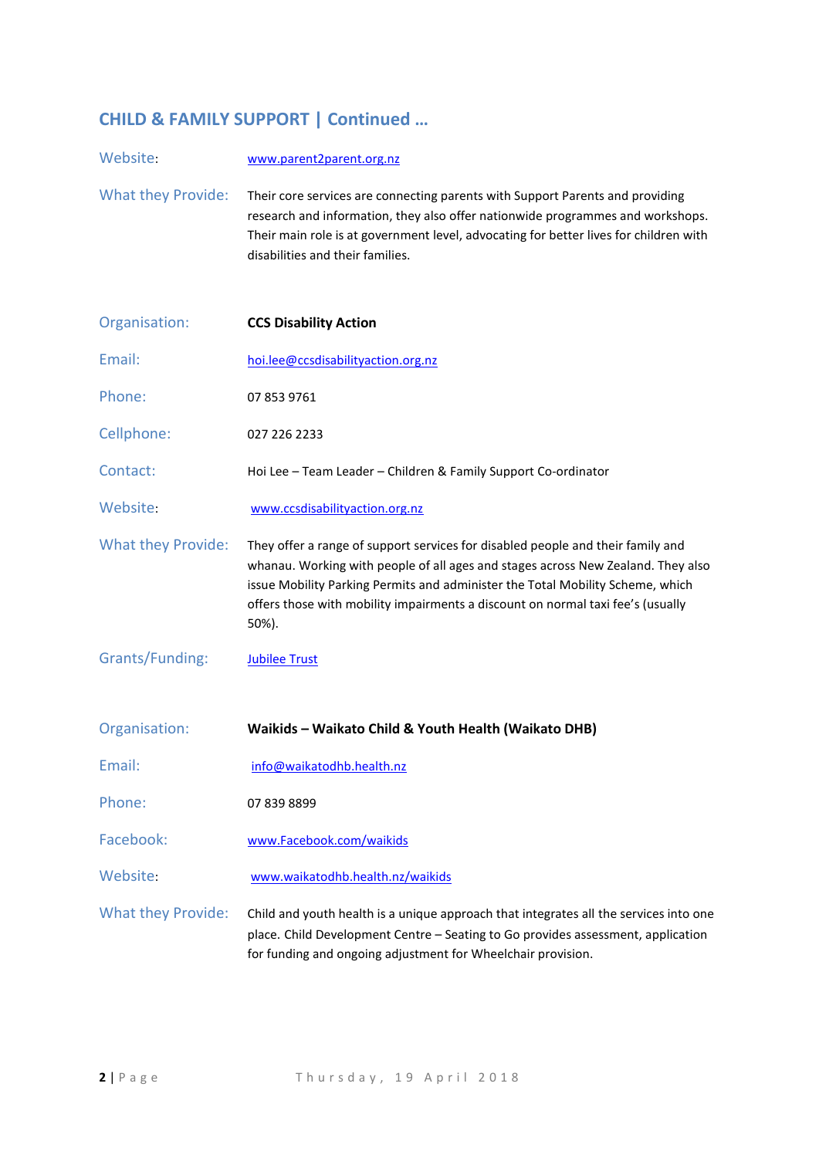### **CHILD & FAMILY SUPPORT | Continued …**

Website: [www.parent2parent.org.nz](http://www.parent2parent.org.nz/) What they Provide: Their core services are connecting parents with Support Parents and providing research and information, they also offer nationwide programmes and workshops. Their main role is at government level, advocating for better lives for children with disabilities and their families.

| Organisation:             | <b>CCS Disability Action</b>                                                                                                                                                                                                                                                                                                                      |
|---------------------------|---------------------------------------------------------------------------------------------------------------------------------------------------------------------------------------------------------------------------------------------------------------------------------------------------------------------------------------------------|
| Email:                    | hoi.lee@ccsdisabilityaction.org.nz                                                                                                                                                                                                                                                                                                                |
| Phone:                    | 07 853 9761                                                                                                                                                                                                                                                                                                                                       |
| Cellphone:                | 027 226 2233                                                                                                                                                                                                                                                                                                                                      |
| Contact:                  | Hoi Lee - Team Leader - Children & Family Support Co-ordinator                                                                                                                                                                                                                                                                                    |
| Website:                  | www.ccsdisabilityaction.org.nz                                                                                                                                                                                                                                                                                                                    |
| <b>What they Provide:</b> | They offer a range of support services for disabled people and their family and<br>whanau. Working with people of all ages and stages across New Zealand. They also<br>issue Mobility Parking Permits and administer the Total Mobility Scheme, which<br>offers those with mobility impairments a discount on normal taxi fee's (usually<br>50%). |
| Grants/Funding:           | <b>Jubilee Trust</b>                                                                                                                                                                                                                                                                                                                              |
| Organisation:             | Waikids - Waikato Child & Youth Health (Waikato DHB)                                                                                                                                                                                                                                                                                              |
| Email:                    | info@waikatodhb.health.nz                                                                                                                                                                                                                                                                                                                         |
| Phone:                    | 07 839 8899                                                                                                                                                                                                                                                                                                                                       |
| Facebook:                 | www.Facebook.com/waikids                                                                                                                                                                                                                                                                                                                          |
| Website:                  | www.waikatodhb.health.nz/waikids                                                                                                                                                                                                                                                                                                                  |
| <b>What they Provide:</b> | Child and youth health is a unique approach that integrates all the services into one                                                                                                                                                                                                                                                             |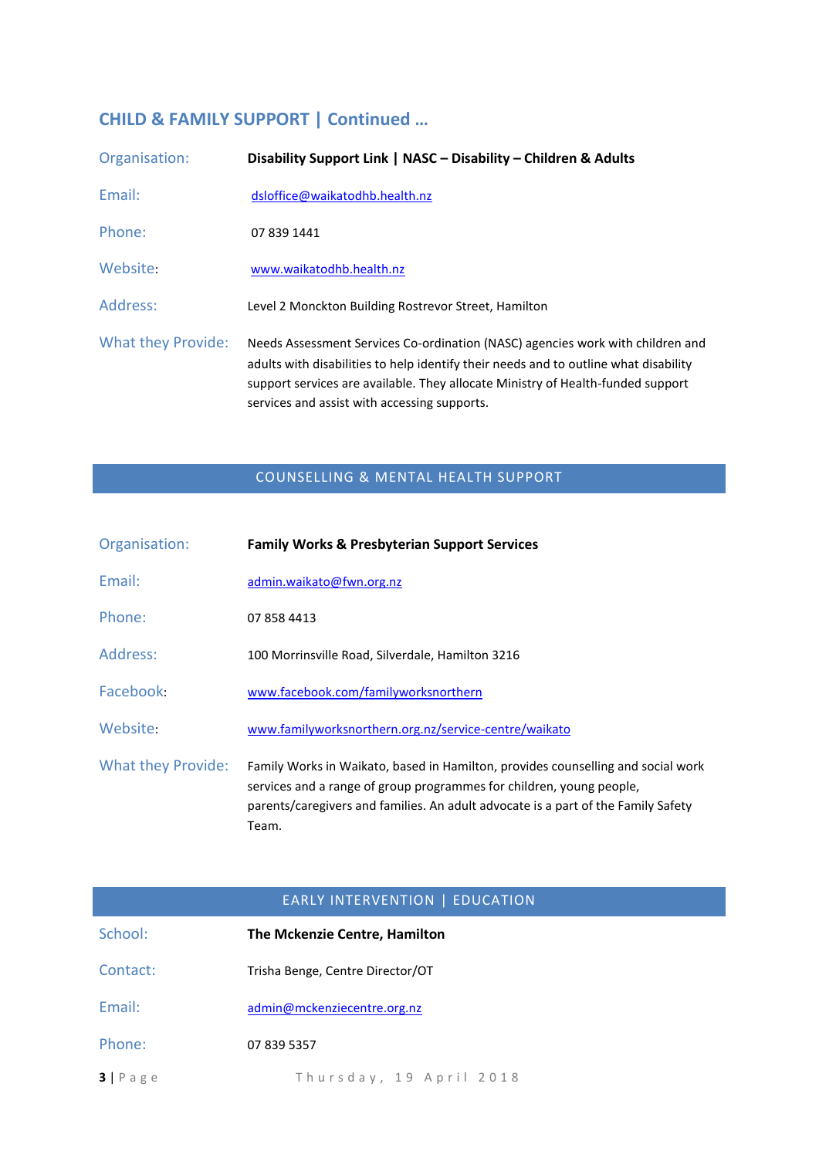## **CHILD & FAMILY SUPPORT | Continued …**

| Organisation:      | Disability Support Link   NASC - Disability - Children & Adults                                                                                                                                                                                                                                           |
|--------------------|-----------------------------------------------------------------------------------------------------------------------------------------------------------------------------------------------------------------------------------------------------------------------------------------------------------|
| Email:             | dsloffice@waikatodhb.health.nz                                                                                                                                                                                                                                                                            |
| Phone:             | 07 839 1441                                                                                                                                                                                                                                                                                               |
| Website:           | www.waikatodhb.health.nz                                                                                                                                                                                                                                                                                  |
| Address:           | Level 2 Monckton Building Rostrevor Street, Hamilton                                                                                                                                                                                                                                                      |
| What they Provide: | Needs Assessment Services Co-ordination (NASC) agencies work with children and<br>adults with disabilities to help identify their needs and to outline what disability<br>support services are available. They allocate Ministry of Health-funded support<br>services and assist with accessing supports. |

### COUNSELLING & MENTAL HEALTH SUPPORT

| Organisation:      | <b>Family Works &amp; Presbyterian Support Services</b>                                                                                                                                                                                                |
|--------------------|--------------------------------------------------------------------------------------------------------------------------------------------------------------------------------------------------------------------------------------------------------|
| Email:             | admin.waikato@fwn.org.nz                                                                                                                                                                                                                               |
| Phone:             | 07 858 4413                                                                                                                                                                                                                                            |
| Address:           | 100 Morrinsville Road, Silverdale, Hamilton 3216                                                                                                                                                                                                       |
| Facebook:          | www.facebook.com/familyworksnorthern                                                                                                                                                                                                                   |
| Website:           | www.familyworksnorthern.org.nz/service-centre/waikato                                                                                                                                                                                                  |
| What they Provide: | Family Works in Waikato, based in Hamilton, provides counselling and social work<br>services and a range of group programmes for children, young people,<br>parents/caregivers and families. An adult advocate is a part of the Family Safety<br>Team. |

| <b>EARLY INTERVENTION   EDUCATION</b> |                                  |
|---------------------------------------|----------------------------------|
| School:                               | The Mckenzie Centre, Hamilton    |
| Contact:                              | Trisha Benge, Centre Director/OT |
| Email:                                | admin@mckenziecentre.org.nz      |
| Phone:                                | 07 839 5357                      |
| $3 P \text{ age}$                     | Thursday, 19 April 2018          |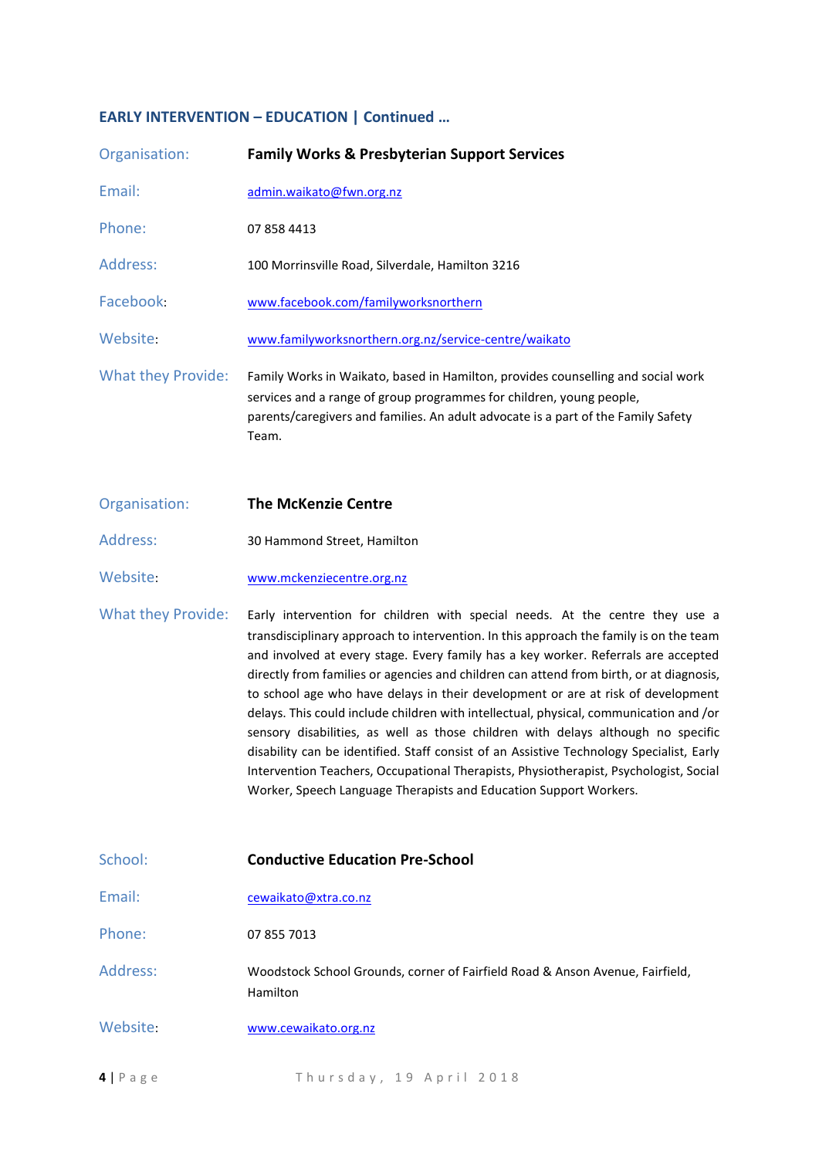#### **EARLY INTERVENTION – EDUCATION | Continued …**

| Organisation:             | <b>Family Works &amp; Presbyterian Support Services</b>                                                                                                                                                                                                |
|---------------------------|--------------------------------------------------------------------------------------------------------------------------------------------------------------------------------------------------------------------------------------------------------|
| Email:                    | admin.waikato@fwn.org.nz                                                                                                                                                                                                                               |
| Phone:                    | 07 858 4413                                                                                                                                                                                                                                            |
| Address:                  | 100 Morrinsville Road, Silverdale, Hamilton 3216                                                                                                                                                                                                       |
| Facebook:                 | www.facebook.com/familyworksnorthern                                                                                                                                                                                                                   |
| Website:                  | www.familyworksnorthern.org.nz/service-centre/waikato                                                                                                                                                                                                  |
| <b>What they Provide:</b> | Family Works in Waikato, based in Hamilton, provides counselling and social work<br>services and a range of group programmes for children, young people,<br>parents/caregivers and families. An adult advocate is a part of the Family Safety<br>Team. |

- Organisation: **The McKenzie Centre**
- Address: 30 Hammond Street, Hamilton
- Website: [www.mckenziecentre.org.nz](http://www.mckenziecentre.org.nz/)

What they Provide: Early intervention for children with special needs. At the centre they use a transdisciplinary approach to intervention. In this approach the family is on the team and involved at every stage. Every family has a key worker. Referrals are accepted directly from families or agencies and children can attend from birth, or at diagnosis, to school age who have delays in their development or are at risk of development delays. This could include children with intellectual, physical, communication and /or sensory disabilities, as well as those children with delays although no specific disability can be identified. Staff consist of an Assistive Technology Specialist, Early Intervention Teachers, Occupational Therapists, Physiotherapist, Psychologist, Social Worker, Speech Language Therapists and Education Support Workers.

| School:            | <b>Conductive Education Pre-School</b>                                                    |
|--------------------|-------------------------------------------------------------------------------------------|
| Email:             | cewaikato@xtra.co.nz                                                                      |
| Phone:             | 07 855 7013                                                                               |
| Address:           | Woodstock School Grounds, corner of Fairfield Road & Anson Avenue, Fairfield,<br>Hamilton |
| Website:           | www.cewaikato.org.nz                                                                      |
| $4   P \text{age}$ | Thursday, 19 April 2018                                                                   |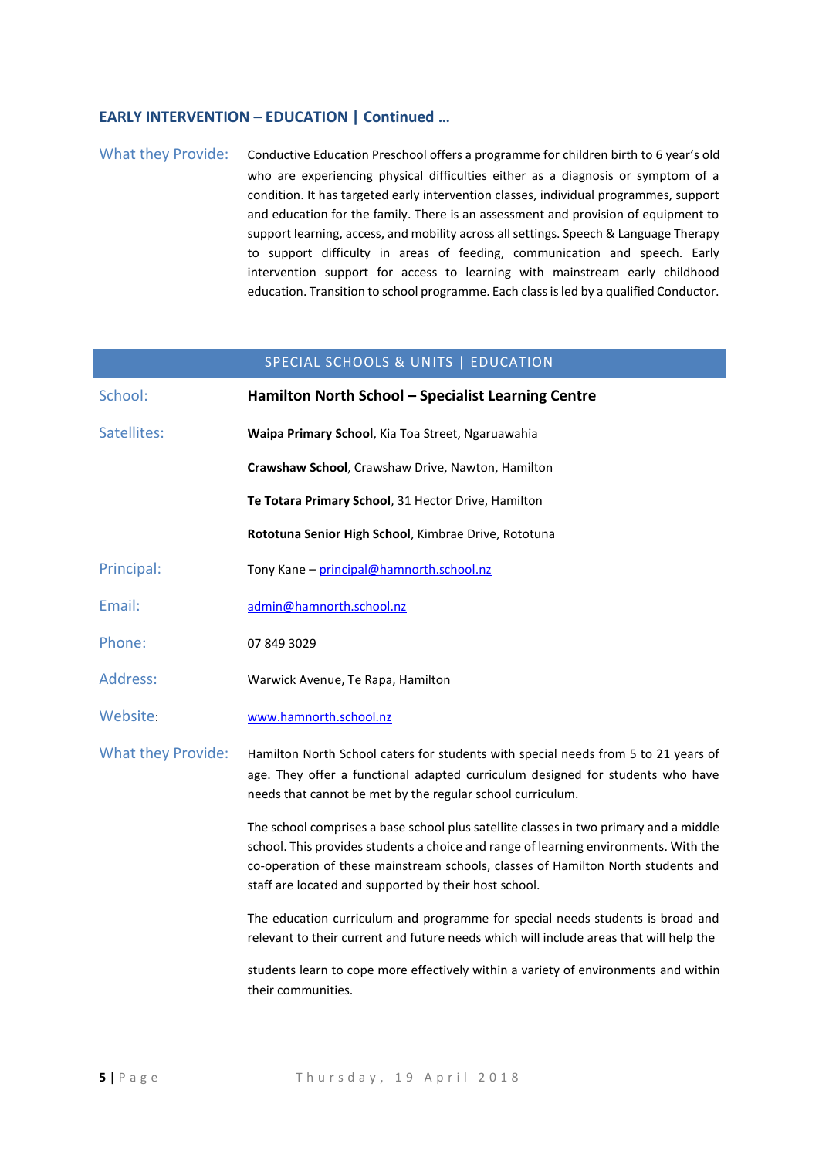#### **EARLY INTERVENTION – EDUCATION | Continued …**

What they Provide: Conductive Education Preschool offers a programme for children birth to 6 year's old who are experiencing physical difficulties either as a diagnosis or symptom of a condition. It has targeted early intervention classes, individual programmes, support and education for the family. There is an assessment and provision of equipment to support learning, access, and mobility across all settings. Speech & Language Therapy to support difficulty in areas of feeding, communication and speech. Early intervention support for access to learning with mainstream early childhood education. Transition to school programme. Each class is led by a qualified Conductor.

| SPECIAL SCHOOLS & UNITS   EDUCATION |                                                                                                                                                                                                                                                                                                                            |
|-------------------------------------|----------------------------------------------------------------------------------------------------------------------------------------------------------------------------------------------------------------------------------------------------------------------------------------------------------------------------|
| School:                             | Hamilton North School - Specialist Learning Centre                                                                                                                                                                                                                                                                         |
| Satellites:                         | Waipa Primary School, Kia Toa Street, Ngaruawahia                                                                                                                                                                                                                                                                          |
|                                     | Crawshaw School, Crawshaw Drive, Nawton, Hamilton                                                                                                                                                                                                                                                                          |
|                                     | Te Totara Primary School, 31 Hector Drive, Hamilton                                                                                                                                                                                                                                                                        |
|                                     | Rototuna Senior High School, Kimbrae Drive, Rototuna                                                                                                                                                                                                                                                                       |
| Principal:                          | Tony Kane - principal@hamnorth.school.nz                                                                                                                                                                                                                                                                                   |
| Email:                              | admin@hamnorth.school.nz                                                                                                                                                                                                                                                                                                   |
| Phone:                              | 07 849 3029                                                                                                                                                                                                                                                                                                                |
| Address:                            | Warwick Avenue, Te Rapa, Hamilton                                                                                                                                                                                                                                                                                          |
| Website:                            | www.hamnorth.school.nz                                                                                                                                                                                                                                                                                                     |
| <b>What they Provide:</b>           | Hamilton North School caters for students with special needs from 5 to 21 years of<br>age. They offer a functional adapted curriculum designed for students who have<br>needs that cannot be met by the regular school curriculum.                                                                                         |
|                                     | The school comprises a base school plus satellite classes in two primary and a middle<br>school. This provides students a choice and range of learning environments. With the<br>co-operation of these mainstream schools, classes of Hamilton North students and<br>staff are located and supported by their host school. |
|                                     | The education curriculum and programme for special needs students is broad and<br>relevant to their current and future needs which will include areas that will help the                                                                                                                                                   |
|                                     | students learn to cope more effectively within a variety of environments and within<br>their communities.                                                                                                                                                                                                                  |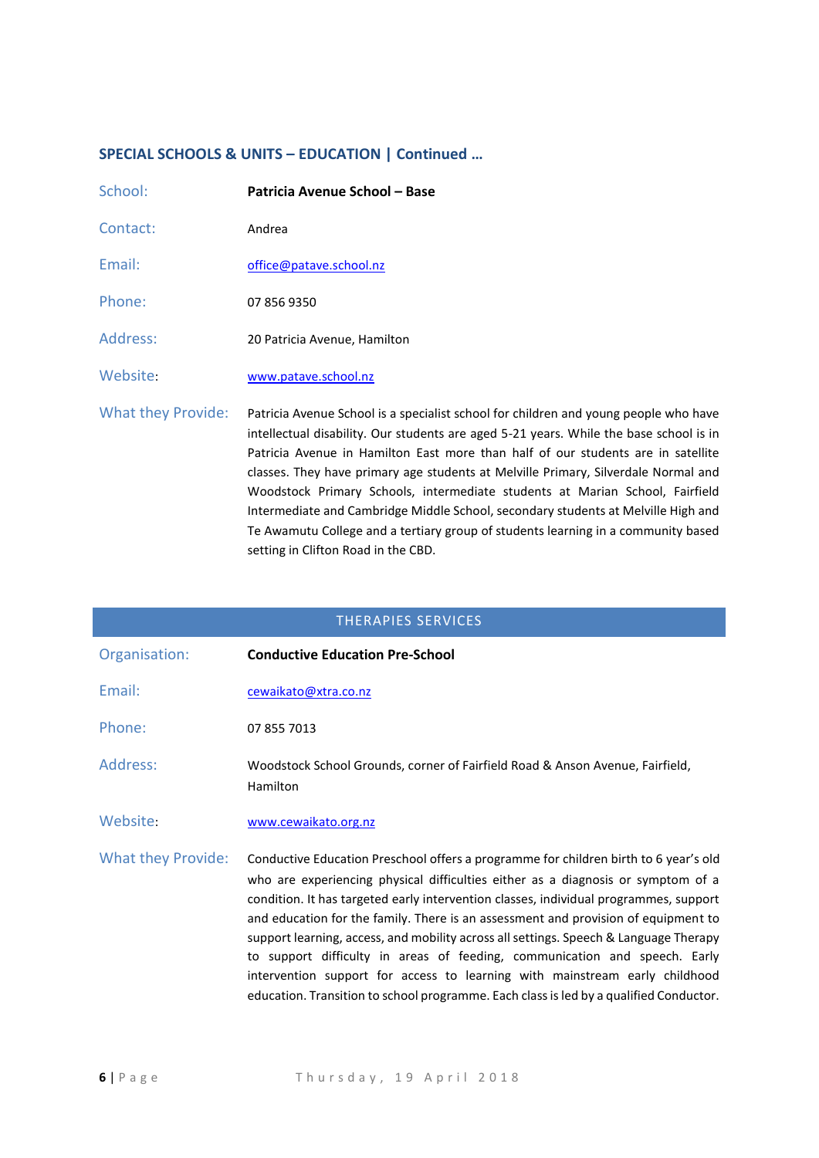## **SPECIAL SCHOOLS & UNITS – EDUCATION | Continued …**

| School:            | Patricia Avenue School - Base                                                                                                                                                                                                                                                                                                                                                                                                                                                                                                                                                                                                                             |
|--------------------|-----------------------------------------------------------------------------------------------------------------------------------------------------------------------------------------------------------------------------------------------------------------------------------------------------------------------------------------------------------------------------------------------------------------------------------------------------------------------------------------------------------------------------------------------------------------------------------------------------------------------------------------------------------|
| Contact:           | Andrea                                                                                                                                                                                                                                                                                                                                                                                                                                                                                                                                                                                                                                                    |
| Email:             | office@patave.school.nz                                                                                                                                                                                                                                                                                                                                                                                                                                                                                                                                                                                                                                   |
| Phone:             | 07 856 9350                                                                                                                                                                                                                                                                                                                                                                                                                                                                                                                                                                                                                                               |
| Address:           | 20 Patricia Avenue, Hamilton                                                                                                                                                                                                                                                                                                                                                                                                                                                                                                                                                                                                                              |
| Website:           | www.patave.school.nz                                                                                                                                                                                                                                                                                                                                                                                                                                                                                                                                                                                                                                      |
| What they Provide: | Patricia Avenue School is a specialist school for children and young people who have<br>intellectual disability. Our students are aged 5-21 years. While the base school is in<br>Patricia Avenue in Hamilton East more than half of our students are in satellite<br>classes. They have primary age students at Melville Primary, Silverdale Normal and<br>Woodstock Primary Schools, intermediate students at Marian School, Fairfield<br>Intermediate and Cambridge Middle School, secondary students at Melville High and<br>Te Awamutu College and a tertiary group of students learning in a community based<br>setting in Clifton Road in the CBD. |

| <b>THERAPIES SERVICES</b> |                                                                                                                                                                                                                                                                                                                                                                                                                                                                                                                                                                                                                                                                                                         |
|---------------------------|---------------------------------------------------------------------------------------------------------------------------------------------------------------------------------------------------------------------------------------------------------------------------------------------------------------------------------------------------------------------------------------------------------------------------------------------------------------------------------------------------------------------------------------------------------------------------------------------------------------------------------------------------------------------------------------------------------|
| Organisation:             | <b>Conductive Education Pre-School</b>                                                                                                                                                                                                                                                                                                                                                                                                                                                                                                                                                                                                                                                                  |
| Email:                    | cewaikato@xtra.co.nz                                                                                                                                                                                                                                                                                                                                                                                                                                                                                                                                                                                                                                                                                    |
| Phone:                    | 07 855 7013                                                                                                                                                                                                                                                                                                                                                                                                                                                                                                                                                                                                                                                                                             |
| Address:                  | Woodstock School Grounds, corner of Fairfield Road & Anson Avenue, Fairfield,<br>Hamilton                                                                                                                                                                                                                                                                                                                                                                                                                                                                                                                                                                                                               |
| Website:                  | www.cewaikato.org.nz                                                                                                                                                                                                                                                                                                                                                                                                                                                                                                                                                                                                                                                                                    |
| <b>What they Provide:</b> | Conductive Education Preschool offers a programme for children birth to 6 year's old<br>who are experiencing physical difficulties either as a diagnosis or symptom of a<br>condition. It has targeted early intervention classes, individual programmes, support<br>and education for the family. There is an assessment and provision of equipment to<br>support learning, access, and mobility across all settings. Speech & Language Therapy<br>to support difficulty in areas of feeding, communication and speech. Early<br>intervention support for access to learning with mainstream early childhood<br>education. Transition to school programme. Each class is led by a qualified Conductor. |